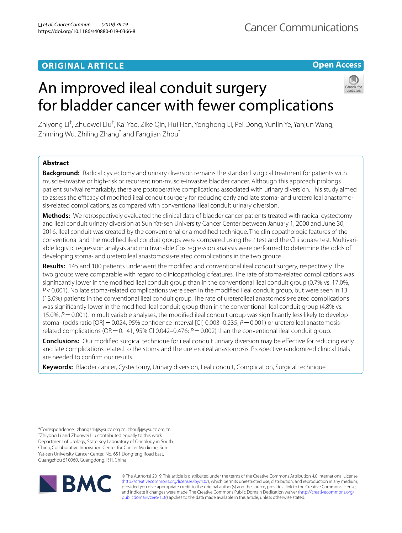# **ORIGINAL ARTICLE**

# **Open Access**



# An improved ileal conduit surgery for bladder cancer with fewer complications

Zhiyong Li<sup>†</sup>, Zhuowei Liu<sup>†</sup>, Kai Yao, Zike Qin, Hui Han, Yonghong Li, Pei Dong, Yunlin Ye, Yanjun Wang, Zhiming Wu, Zhiling Zhang<sup>\*</sup> and Fangjian Zhou<sup>\*</sup>

# **Abstract**

**Background:** Radical cystectomy and urinary diversion remains the standard surgical treatment for patients with muscle-invasive or high-risk or recurrent non-muscle-invasive bladder cancer. Although this approach prolongs patient survival remarkably, there are postoperative complications associated with urinary diversion. This study aimed to assess the efficacy of modified ileal conduit surgery for reducing early and late stoma- and ureteroileal anastomosis-related complications, as compared with conventional ileal conduit urinary diversion.

**Methods:** We retrospectively evaluated the clinical data of bladder cancer patients treated with radical cystectomy and ileal conduit urinary diversion at Sun Yat-sen University Cancer Center between January 1, 2000 and June 30, 2016. Ileal conduit was created by the conventional or a modifed technique. The clinicopathologic features of the conventional and the modifed ileal conduit groups were compared using the *t* test and the Chi square test. Multivariable logistic regression analysis and multivariable Cox regression analysis were performed to determine the odds of developing stoma- and ureteroileal anastomosis-related complications in the two groups.

**Results:** 145 and 100 patients underwent the modifed and conventional ileal conduit surgery, respectively. The two groups were comparable with regard to clinicopathologic features. The rate of stoma-related complications was signifcantly lower in the modifed ileal conduit group than in the conventional ileal conduit group (0.7% vs. 17.0%, *P*<0.001). No late stoma-related complications were seen in the modifed ileal conduit group, but were seen in 13 (13.0%) patients in the conventional ileal conduit group. The rate of ureteroileal anastomosis-related complications was signifcantly lower in the modifed ileal conduit group than in the conventional ileal conduit group (4.8% vs. 15.0%, *P*=0.001). In multivariable analyses, the modifed ileal conduit group was signifcantly less likely to develop stoma- (odds ratio [OR] = 0.024, 95% confidence interval [CI] 0.003–0.235; *P* = 0.001) or ureteroileal anastomosisrelated complications ( $OR = 0.141$ ,  $95\%$  CI 0.042–0.476;  $P = 0.002$ ) than the conventional ileal conduit group.

**Conclusions:** Our modifed surgical technique for ileal conduit urinary diversion may be efective for reducing early and late complications related to the stoma and the ureteroileal anastomosis. Prospective randomized clinical trials are needed to confrm our results.

**Keywords:** Bladder cancer, Cystectomy, Urinary diversion, Ileal conduit, Complication, Surgical technique

\*Correspondence: zhangzhl@sysucc.org.cn; zhouf@sysucc.org.cn † Zhiyong Li and Zhuowei Liu contributed equally to this work Department of Urology, State Key Laboratory of Oncology in South China, Collaborative Innovation Center for Cancer Medicine, Sun Yat-sen University Cancer Center, No. 651 Dongfeng Road East, Guangzhou 510060, Guangdong, P. R. China



© The Author(s) 2019. This article is distributed under the terms of the Creative Commons Attribution 4.0 International License [\(http://creativecommons.org/licenses/by/4.0/\)](http://creativecommons.org/licenses/by/4.0/), which permits unrestricted use, distribution, and reproduction in any medium, provided you give appropriate credit to the original author(s) and the source, provide a link to the Creative Commons license, and indicate if changes were made. The Creative Commons Public Domain Dedication waiver ([http://creativecommons.org/](http://creativecommons.org/publicdomain/zero/1.0/) [publicdomain/zero/1.0/](http://creativecommons.org/publicdomain/zero/1.0/)) applies to the data made available in this article, unless otherwise stated.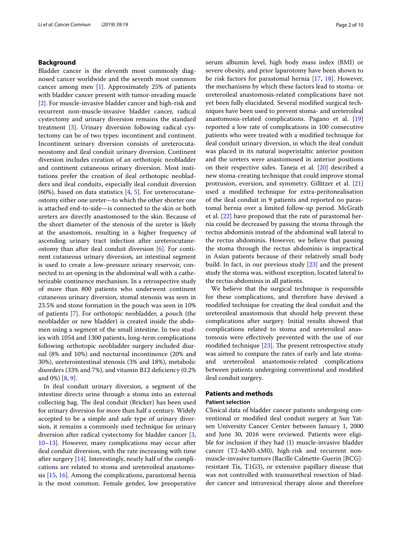# **Background**

Bladder cancer is the eleventh most commonly diagnosed cancer worldwide and the seventh most common cancer among men [[1](#page-8-0)]. Approximately 25% of patients with bladder cancer present with tumor-invading muscle [[2\]](#page-8-1). For muscle-invasive bladder cancer and high-risk and recurrent non-muscle-invasive bladder cancer, radical cystectomy and urinary diversion remains the standard treatment [[3\]](#page-8-2). Urinary diversion following radical cystectomy can be of two types: incontinent and continent. Incontinent urinary diversion consists of ureterocutaneostomy and ileal conduit urinary diversion. Continent diversion includes creation of an orthotopic neobladder and continent cutaneous urinary diversion. Most institutions prefer the creation of ileal orthotopic neobladders and ileal conduits, especially ileal conduit diversion  $(60\%)$ , based on data statistics  $[4, 5]$  $[4, 5]$  $[4, 5]$ . For ureterocutaneostomy either one ureter—to which the other shorter one is attached end-to-side—is connected to the skin or both ureters are directly anastomosed to the skin. Because of the short diameter of the stenosis of the ureter is likely at the anastomois, resulting in a higher frequency of ascending urinary tract infection after ureterocutaneostomy than after ileal conduit diversion [[6\]](#page-8-5). For continent cutaneous urinary diversion, an intestinal segment is used to create a low-pressure urinary reservoir, connected to an opening in the abdominal wall with a catheterizable continence mechanism. In a retrospective study of more than 800 patients who underwent continent cutaneous urinary diversion, stomal stenosis was seen in 23.5% and stone formation in the pouch was seen in 10% of patients [[7\]](#page-8-6). For orthotopic neobladder, a pouch (the neobladder or new bladder) is created inside the abdomen using a segment of the small intestine. In two studies with 1054 and 1300 patients, long-term complications following orthotopic neobladder surgery included diurnal (8% and 10%) and nocturnal incontinence (20% and 30%), ureterointestinal stenosis (3% and 18%), metabolic disorders (33% and 7%), and vitamin B12 defciency (0.2% and 0%) [[8,](#page-8-7) [9](#page-8-8)].

In ileal conduit urinary diversion, a segment of the intestine directs urine through a stoma into an external collecting bag. The ileal conduit (Bricker) has been used for urinary diversion for more than half a century. Widely accepted to be a simple and safe type of urinary diversion, it remains a commonly used technique for urinary diversion after radical cystectomy for bladder cancer [\[3](#page-8-2), [10–](#page-8-9)[13](#page-8-10)]. However, many complications may occur after ileal conduit diversion, with the rate increasing with time after surgery [\[14\]](#page-8-11). Interestingly, nearly half of the complications are related to stoma and ureteroileal anastomosis [[15,](#page-8-12) [16](#page-8-13)]. Among the complications, parastomal hernia is the most common. Female gender, low preoperative serum albumin level, high body mass index (BMI) or severe obesity, and prior laparotomy have been shown to be risk factors for parastomal hernia [[17](#page-8-14), [18](#page-8-15)]. However, the mechanisms by which these factors lead to stoma- or ureteroileal anastomosis-related complications have not yet been fully elucidated. Several modifed surgical techniques have been used to prevent stoma- and ureteroileal anastomosis-related complications. Pagano et al. [[19](#page-8-16)] reported a low rate of complications in 100 consecutive patients who were treated with a modifed technique for ileal conduit urinary diversion, in which the ileal conduit was placed in its natural isoperistaltic anterior position and the ureters were anastomosed in anterior positions on their respective sides. Taneja et al. [\[20](#page-8-17)] described a new stoma-creating technique that could improve stomal protrusion, eversion, and symmetry. Gillitzer et al. [[21](#page-8-18)] used a modifed technique for extra-peritonealisation of the ileal conduit in 9 patients and reported no parastomal hernia over a limited follow-up period. McGrath et al. [[22](#page-8-19)] have proposed that the rate of parastomal hernia could be decreased by passing the stoma through the rectus abdominis instead of the abdominal wall lateral to the rectus abdominis. However, we believe that passing the stoma through the rectus abdominis is impractical in Asian patients because of their relatively small body build. In fact, in our previous study [[23\]](#page-8-20) and the present study the stoma was, without exception, located lateral to the rectus abdominis in all patients.

We believe that the surgical technique is responsible for these complications, and therefore have devised a modifed technique for creating the ileal conduit and the ureteroileal anastomosis that should help prevent these complications after surgery. Initial results showed that complications related to stoma and ureteroileal anastomosis were efectively prevented with the use of our modified technique  $[23]$  $[23]$ . The present retrospective study was aimed to compare the rates of early and late stomaand ureteroileal anastomosis-related complications between patients undergoing conventional and modifed ileal conduit surgery.

# **Patients and methods**

# **Patient selection**

Clinical data of bladder cancer patients undergoing conventional or modifed ileal conduit surgery at Sun Yatsen University Cancer Center between January 1, 2000 and June 30, 2016 were reviewed. Patients were eligible for inclusion if they had (1) muscle-invasive bladder cancer (T2-4aN0-xM0), high-risk and recurrent nonmuscle-invasive tumors (Bacille Calmette-Guerin [BCG] resistant Tis, T1G3), or extensive papillary disease that was not controlled with transurethral resection of bladder cancer and intravesical therapy alone and therefore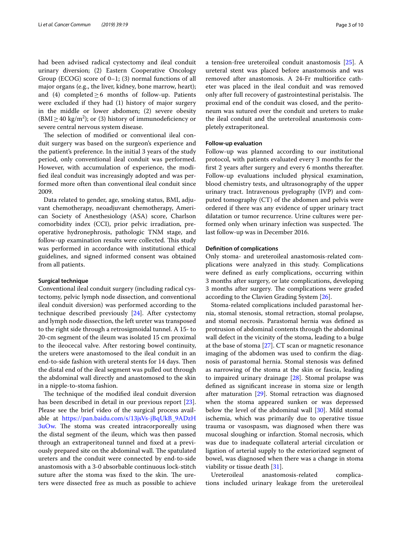had been advised radical cystectomy and ileal conduit urinary diversion; (2) Eastern Cooperative Oncology Group (ECOG) score of 0–1; (3) normal functions of all major organs (e.g., the liver, kidney, bone marrow, heart); and (4) completed  $\geq$  6 months of follow-up. Patients were excluded if they had (1) history of major surgery in the middle or lower abdomen; (2) severe obesity  $(BMI \ge 40 \text{ kg/m}^2)$ ; or (3) history of immunodeficiency or severe central nervous system disease.

The selection of modified or conventional ileal conduit surgery was based on the surgeon's experience and the patient's preference. In the initial 3 years of the study period, only conventional ileal conduit was performed. However, with accumulation of experience, the modifed ileal conduit was increasingly adopted and was performed more often than conventional ileal conduit since 2009.

Data related to gender, age, smoking status, BMI, adjuvant chemotherapy, neoadjuvant chemotherapy, American Society of Anesthesiology (ASA) score, Charlson comorbidity index (CCI), prior pelvic irradiation, preoperative hydronephrosis, pathologic TNM stage, and follow-up examination results were collected. This study was performed in accordance with institutional ethical guidelines, and signed informed consent was obtained from all patients.

#### **Surgical technique**

Conventional ileal conduit surgery (including radical cystectomy, pelvic lymph node dissection, and conventional ileal conduit diversion) was performed according to the technique described previously [[24](#page-9-0)]. After cystectomy and lymph node dissection, the left ureter was transposed to the right side through a retrosigmoidal tunnel. A 15- to 20-cm segment of the ileum was isolated 15 cm proximal to the ileocecal valve. After restoring bowel continuity, the ureters were anastomosed to the ileal conduit in an end-to-side fashion with ureteral stents for 14 days. Then the distal end of the ileal segment was pulled out through the abdominal wall directly and anastomosed to the skin in a nipple-to-stoma fashion.

The technique of the modified ileal conduit diversion has been described in detail in our previous report [\[23](#page-8-20)]. Please see the brief video of the surgical process available at [https://pan.baidu.com/s/13jsVs-jBqUkB\\_9ADzH](https://pan.baidu.com/s/13jsVs-jBqUkB_9ADzH3uOw)  $3uOw$ . The stoma was created intracorporeally using the distal segment of the ileum, which was then passed through an extraperitoneal tunnel and fxed at a previously prepared site on the abdominal wall. The spatulated ureters and the conduit were connected by end-to-side anastomosis with a 3-0 absorbable continuous lock-stitch suture after the stoma was fixed to the skin. The ureters were dissected free as much as possible to achieve a tension-free ureteroileal conduit anastomosis [\[25\]](#page-9-1). A ureteral stent was placed before anastomosis and was removed after anastomosis. A 24-Fr multiorifce catheter was placed in the ileal conduit and was removed only after full recovery of gastrointestinal peristalsis. The proximal end of the conduit was closed, and the peritoneum was sutured over the conduit and ureters to make the ileal conduit and the ureteroileal anastomosis completely extraperitoneal.

#### **Follow‑up evaluation**

Follow-up was planned according to our institutional protocol, with patients evaluated every 3 months for the frst 2 years after surgery and every 6 months thereafter. Follow-up evaluations included physical examination, blood chemistry tests, and ultrasonography of the upper urinary tract. Intravenous pyelography (IVP) and computed tomography (CT) of the abdomen and pelvis were ordered if there was any evidence of upper urinary tract dilatation or tumor recurrence. Urine cultures were performed only when urinary infection was suspected. The last follow-up was in December 2016.

## **Defnition of complications**

Only stoma- and ureteroileal anastomosis-related complications were analyzed in this study. Complications were defned as early complications, occurring within 3 months after surgery, or late complications, developing 3 months after surgery. The complications were graded according to the Clavien Grading System [[26\]](#page-9-2).

Stoma-related complications included parastomal hernia, stomal stenosis, stomal retraction, stomal prolapse, and stomal necrosis. Parastomal hernia was defned as protrusion of abdominal contents through the abdominal wall defect in the vicinity of the stoma, leading to a bulge at the base of stoma [[27](#page-9-3)]. CT scan or magnetic resonance imaging of the abdomen was used to confrm the diagnosis of parastomal hernia. Stomal stenosis was defned as narrowing of the stoma at the skin or fascia, leading to impaired urinary drainage [\[28](#page-9-4)]. Stomal prolapse was defned as signifcant increase in stoma size or length after maturation [[29\]](#page-9-5). Stomal retraction was diagnosed when the stoma appeared sunken or was depressed below the level of the abdominal wall [\[30](#page-9-6)]. Mild stomal ischemia, which was primarily due to operative tissue trauma or vasospasm, was diagnosed when there was mucosal sloughing or infarction. Stomal necrosis, which was due to inadequate collateral arterial circulation or ligation of arterial supply to the exteriorized segment of bowel, was diagnosed when there was a change in stoma viability or tissue death [[31](#page-9-7)].

Ureteroileal anastomosis-related complications included urinary leakage from the ureteroileal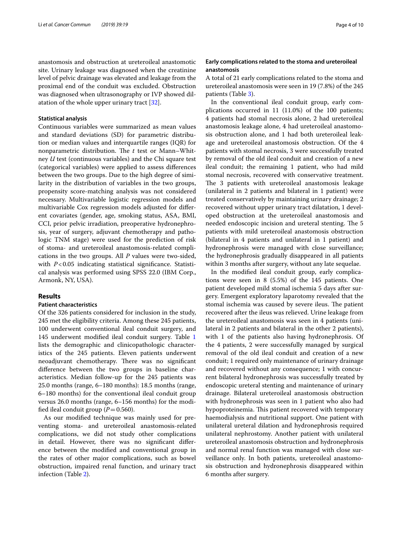anastomosis and obstruction at ureteroileal anastomotic site. Urinary leakage was diagnosed when the creatinine level of pelvic drainage was elevated and leakage from the proximal end of the conduit was excluded. Obstruction was diagnosed when ultrasonography or IVP showed dilatation of the whole upper urinary tract [[32\]](#page-9-8).

## **Statistical analysis**

Continuous variables were summarized as mean values and standard deviations (SD) for parametric distribution or median values and interquartile ranges (IQR) for nonparametric distribution. The *t* test or Mann–Whitney *U* test (continuous variables) and the Chi square test (categorical variables) were applied to assess diferences between the two groups. Due to the high degree of similarity in the distribution of variables in the two groups, propensity score-matching analysis was not considered necessary. Multivariable logistic regression models and multivariable Cox regression models adjusted for diferent covariates (gender, age, smoking status, ASA, BMI, CCI, prior pelvic irradiation, preoperative hydronephrosis, year of surgery, adjuvant chemotherapy and pathologic TNM stage) were used for the prediction of risk of stoma- and ureteroileal anastomosis-related complications in the two groups. All *P* values were two-sided, with *P*<0.05 indicating statistical significance. Statistical analysis was performed using SPSS 22.0 (IBM Corp., Armonk, NY, USA).

### **Results**

# **Patient characteristics**

Of the 326 patients considered for inclusion in the study, 245 met the eligibility criteria. Among these 245 patients, 100 underwent conventional ileal conduit surgery, and 145 underwent modifed ileal conduit surgery. Table [1](#page-4-0) lists the demographic and clinicopathologic characteristics of the 245 patients. Eleven patients underwent neoadjuvant chemotherapy. There was no significant diference between the two groups in baseline characteristics. Median follow-up for the 245 patients was 25.0 months (range, 6–180 months): 18.5 months (range, 6–180 months) for the conventional ileal conduit group versus 26.0 months (range, 6–156 months) for the modified ileal conduit group  $(P=0.560)$ .

As our modifed technique was mainly used for preventing stoma- and ureteroileal anastomosis-related complications, we did not study other complications in detail. However, there was no signifcant diference between the modifed and conventional group in the rates of other major complications, such as bowel obstruction, impaired renal function, and urinary tract infection (Table [2](#page-4-1)).

# **Early complications related to the stoma and ureteroileal anastomosis**

A total of 21 early complications related to the stoma and ureteroileal anastomosis were seen in 19 (7.8%) of the 245 patients (Table [3](#page-5-0)).

In the conventional ileal conduit group, early complications occurred in 11 (11.0%) of the 100 patients; 4 patients had stomal necrosis alone, 2 had ureteroileal anastomosis leakage alone, 4 had ureteroileal anastomosis obstruction alone, and 1 had both ureteroileal leakage and ureteroileal anastomosis obstruction. Of the 4 patients with stomal necrosis, 3 were successfully treated by removal of the old ileal conduit and creation of a new ileal conduit; the remaining 1 patient, who had mild stomal necrosis, recovered with conservative treatment. The 3 patients with ureteroileal anastomosis leakage (unilateral in 2 patients and bilateral in 1 patient) were treated conservatively by maintaining urinary drainage; 2 recovered without upper urinary tract dilatation, 1 developed obstruction at the ureteroileal anastomosis and needed endoscopic incision and ureteral stenting. The 5 patients with mild ureteroileal anastomosis obstruction (bilateral in 4 patients and unilateral in 1 patient) and hydronephrosis were managed with close surveillance; the hydronephrosis gradually disappeared in all patients within 3 months after surgery, without any late sequelae.

In the modifed ileal conduit group, early complications were seen in 8 (5.5%) of the 145 patients. One patient developed mild stomal ischemia 5 days after surgery. Emergent exploratory laparotomy revealed that the stomal ischemia was caused by severe ileus. The patient recovered after the ileus was relieved. Urine leakage from the ureteroileal anastomosis was seen in 4 patients (unilateral in 2 patients and bilateral in the other 2 patients), with 1 of the patients also having hydronephrosis. Of the 4 patients, 2 were successfully managed by surgical removal of the old ileal conduit and creation of a new conduit; 1 required only maintenance of urinary drainage and recovered without any consequence; 1 with concurrent bilateral hydronephrosis was successfully treated by endoscopic ureteral stenting and maintenance of urinary drainage. Bilateral ureteroileal anastomosis obstruction with hydronephrosis was seen in 1 patient who also had hypoproteinemia. This patient recovered with temporary haemodialysis and nutritional support. One patient with unilateral ureteral dilation and hydronephrosis required unilateral nephrostomy. Another patient with unilateral ureteroileal anastomosis obstruction and hydronephrosis and normal renal function was managed with close surveillance only. In both patients, ureteroileal anastomosis obstruction and hydronephrosis disappeared within 6 months after surgery.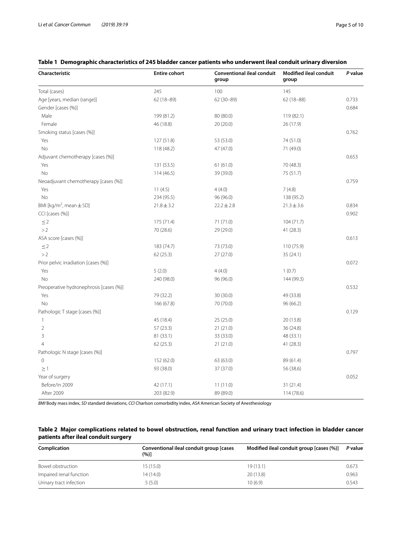*P* **value**

**Modifed ileal conduit** 

# **Characteristic Entire cohort Conventional ileal conduit group group** Total (cases) 245 100 145 Age [years, median (range)] 62 (18-89) 62 (18-89) 62 (30-89) 62 (30-89) 62 (18-88) 62 (30-89) 62 (18-88) Gender [cases (%)] 0.684 Male 199 (81.2) 80 (80.0) 119 (82.1) Female 46 (18.8) 20 (20.0) 26 (17.9) Smoking status [cases (%)] 0.762 Yes 127 (51.8) 53 (53.0) 74 (51.0) No 118 (48.2) 47 (47.0) 47 (49.0) Adjuvant chemotherapy [cases (%)] 0.653 Yes 131 (53.5) 61 (61.0) 70 (48.3) No 114 (46.5) 39 (39.0) 75 (51.7) Neoadjuvant chemotherapy [cases (%)] 0.759  $Y$ es 2003 11 (4.5) 4 (4.0) 7 (4.8) No 234 (95.5) 96 (96.0) 138 (95.2) BMI [ $kg/m^2$ , mean  $\pm$  SD] , mean±SD] 21.8±3.2 22.2±2.8 21.3±3.6 0.834 CCI [cases (%)] 0.902  $\leq$  2 175 (71.4) 71 (71.0) 104 (71.7) >2 70 (28.6) 29 (29.0) 41 (28.3) ASA score [cases (%)] 0.613  $\leq$  2 183 (74.7) 73 (73.0) 73 (73.0) 110 (75.9) >2 62 (25.3) 27 (27.0) 35 (24.1) Prior pelvic irradiation [cases (%)] 0.072  $Y$ es 1 (0.7)  $5(2.0)$  4 (4.0)  $1(0.7)$ No 240 (98.0) 96 (96.0) 96 (96.0) 144 (99.3) Preoperative hydronephrosis [cases (%)] 0.532 Yes 79 (32.2) 30 (30.0) 49 (33.8) No 166 (67.8) 70 (70.0) 96 (66.2) Pathologic T stage [cases (%)] 0.129 1 45 (18.4) 25 (25.0) 20 (13.8) 2 57 (23.3) 21 (21.0) 36 (24.8) 3 81 (33.1) 33 (33.0) 48 (33.1) 4 62 (25.3) 21 (21.0) 41 (28.3) Pathologic N stage [cases (%)] 0.797

# <span id="page-4-0"></span>**Table 1 Demographic characteristics of 245 bladder cancer patients who underwent ileal conduit urinary diversion**

*BMI* Body mass index, *SD* standard deviations, *CCI* Charlson comorbidity index, *ASA* American Society of Anesthesiology

0  $152(62.0)$  63 (63.0) 89 (61.4)  $\geq$ 1 56 (38.6) 37 (37.0) 37 (37.0) 56 (38.6)

Before/in 2009 42 (17.1) 11 (11.0) 31 (21.4) After 2009 203 (82.9) 89 (89.0) 114 (78.6)

<span id="page-4-1"></span>

| Table 2 Major complications related to bowel obstruction, renal function and urinary tract infection in bladder cancer |  |  |
|------------------------------------------------------------------------------------------------------------------------|--|--|
| patients after ileal conduit surgery                                                                                   |  |  |

Year of surgery 0.052

| Complication            | Conventional ileal conduit group [cases<br>(%)] | Modified ileal conduit group [cases (%)] | P value |  |
|-------------------------|-------------------------------------------------|------------------------------------------|---------|--|
| Bowel obstruction       | 15 (15.0)                                       | 19(13.1)                                 | 0.673   |  |
| Impaired renal function | 14 (14.0)                                       | 20(13.8)                                 | 0.963   |  |
| Urinary tract infection | 5(5.0)                                          | 10(6.9)                                  | 0.543   |  |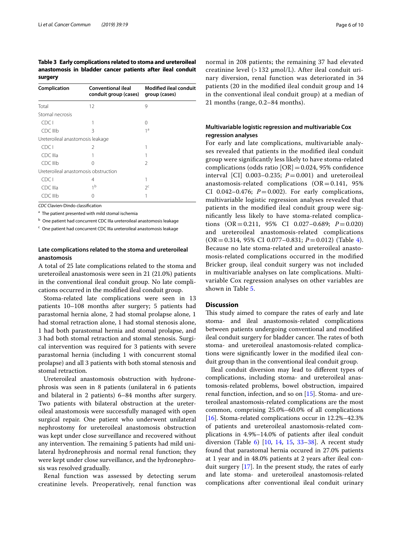<span id="page-5-0"></span>**Table 3 Early complications related to stoma and ureteroileal anastomosis in bladder cancer patients after ileal conduit surgery**

| <b>Conventional ileal</b>            | <b>Modified ileal conduit</b><br>group (cases) |  |  |  |
|--------------------------------------|------------------------------------------------|--|--|--|
|                                      | 9                                              |  |  |  |
|                                      |                                                |  |  |  |
|                                      |                                                |  |  |  |
|                                      | ∩                                              |  |  |  |
| ζ                                    | 1 <sup>a</sup>                                 |  |  |  |
| Ureteroileal anastomosis leakage     |                                                |  |  |  |
| $\mathcal{P}$                        |                                                |  |  |  |
|                                      |                                                |  |  |  |
| 0                                    | 2                                              |  |  |  |
| Ureteroileal anastomosis obstruction |                                                |  |  |  |
| 4                                    |                                                |  |  |  |
| 1 <sub>b</sub>                       | $2^c$                                          |  |  |  |
| 0                                    |                                                |  |  |  |
|                                      | conduit group (cases)<br>12                    |  |  |  |

*CDC* Clavien-Dindo classifcation

<sup>a</sup> The patient presented with mild stomal ischemia

 $<sup>b</sup>$  One patient had concurrent CDC IIIa ureteroileal anastomosis leakage</sup>

<sup>c</sup> One patient had concurrent CDC IIIa ureteroileal anastomosis leakage

# **Late complications related to the stoma and ureteroileal anastomosis**

A total of 25 late complications related to the stoma and ureteroileal anastomosis were seen in 21 (21.0%) patients in the conventional ileal conduit group. No late complications occurred in the modifed ileal conduit group.

Stoma-related late complications were seen in 13 patients 10–108 months after surgery; 5 patients had parastomal hernia alone, 2 had stomal prolapse alone, 1 had stomal retraction alone, 1 had stomal stenosis alone, 1 had both parastomal hernia and stomal prolapse, and 3 had both stomal retraction and stomal stenosis. Surgical intervention was required for 3 patients with severe parastomal hernia (including 1 with concurrent stomal prolapse) and all 3 patients with both stomal stenosis and stomal retraction.

Ureteroileal anastomosis obstruction with hydronephrosis was seen in 8 patients (unilateral in 6 patients and bilateral in 2 patients) 6–84 months after surgery. Two patients with bilateral obstruction at the ureteroileal anastomosis were successfully managed with open surgical repair. One patient who underwent unilateral nephrostomy for ureteroileal anastomosis obstruction was kept under close surveillance and recovered without any intervention. The remaining 5 patients had mild unilateral hydronephrosis and normal renal function; they were kept under close surveillance, and the hydronephrosis was resolved gradually.

Renal function was assessed by detecting serum creatinine levels. Preoperatively, renal function was normal in 208 patients; the remaining 37 had elevated creatinine level (> 132 μmol/L). After ileal conduit urinary diversion, renal function was deteriorated in 34 patients (20 in the modifed ileal conduit group and 14 in the conventional ileal conduit group) at a median of 21 months (range, 0.2–84 months).

# **Multivariable logistic regression and multivariable Cox regression analyses**

For early and late complications, multivariable analyses revealed that patients in the modifed ileal conduit group were signifcantly less likely to have stoma-related complications (odds ratio  $[OR] = 0.024$ , 95% confidence interval [CI]  $0.003-0.235$ ;  $P=0.001$ ) and ureteroileal anastomosis-related complications  $(OR = 0.141, 95\%)$ CI 0.042–0.476;  $P=0.002$ ). For early complications, multivariable logistic regression analyses revealed that patients in the modifed ileal conduit group were signifcantly less likely to have stoma-related complications (OR=0.211, 95% CI 0.027–0.689; *P*=0.020) and ureteroileal anastomosis-related complications (OR=0.314, 95% CI 0.077–0.831; *P*=0.012) (Table [4](#page-6-0)). Because no late stoma-related and ureteroileal anastomosis-related complications occurred in the modifed Bricker group, ileal conduit surgery was not included in multivariable analyses on late complications. Multivariable Cox regression analyses on other variables are shown in Table [5.](#page-6-1)

# **Discussion**

This study aimed to compare the rates of early and late stoma- and ileal anastomosis-related complications between patients undergoing conventional and modifed ileal conduit surgery for bladder cancer. The rates of both stoma- and ureteroileal anastomosis-related complications were signifcantly lower in the modifed ileal conduit group than in the conventional ileal conduit group.

Ileal conduit diversion may lead to diferent types of complications, including stoma- and ureteroileal anastomosis-related problems, bowel obstruction, impaired renal function, infection, and so on [\[15\]](#page-8-12). Stoma- and ureteroileal anastomosis-related complications are the most common, comprising 25.0%–60.0% of all complications [[16\]](#page-8-13). Stoma-related complications occur in 12.2%–42.3% of patients and ureteroileal anastomosis-related complications in 4.9%–14.0% of patients after ileal conduit diversion (Table [6](#page-7-0)) [[10,](#page-8-9) [14,](#page-8-11) [15,](#page-8-12) [33](#page-9-9)[–38\]](#page-9-10). A recent study found that parastomal hernia occured in 27.0% patients at 1 year and in 48.0% patients at 2 years after ileal conduit surgery [\[17](#page-8-14)]. In the present study, the rates of early and late stoma- and ureteroileal anastomosis-related complications after conventional ileal conduit urinary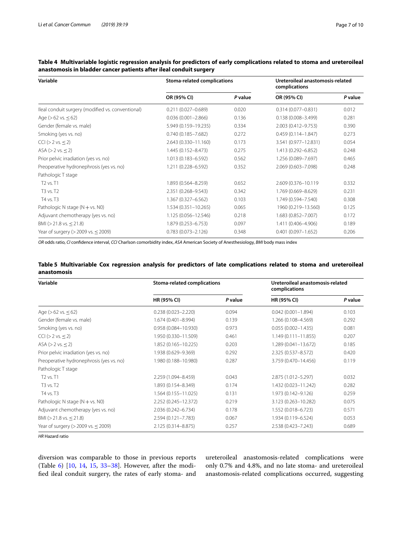| Variable                                          | <b>Stoma-related complications</b> |         | Ureteroileal anastomosis-related<br>complications |         |  |
|---------------------------------------------------|------------------------------------|---------|---------------------------------------------------|---------|--|
|                                                   | OR (95% CI)                        | P value | OR (95% CI)                                       | P value |  |
| Ileal conduit surgery (modified vs. conventional) | $0.211(0.027 - 0.689)$             | 0.020   | $0.314(0.077 - 0.831)$                            | 0.012   |  |
| Age ( $>62$ vs. $\leq 62$ )                       | $0.036(0.001 - 2.866)$             | 0.136   | $0.138(0.008 - 3.499)$                            | 0.281   |  |
| Gender (female vs. male)                          | 5.949 (0.159-19.235)               | 0.334   | 2.003 (0.412-9.753)                               | 0.390   |  |
| Smoking (yes vs. no)                              | $0.740(0.185 - 7.682)$             | 0.272   | $0.459(0.114 - 1.847)$                            | 0.273   |  |
| $ CCI $ ( $>$ 2 vs. $\leq$ 2)                     | 2.643 (0.330-11.160)               | 0.173   | 3.541 (0.977-12.831)                              | 0.054   |  |
| $ASA (> 2 vs. \leq 2)$                            | 1.445 (0.152-8.473)                | 0.275   | 1.413 (0.292-6.852)                               | 0.248   |  |
| Prior pelvic irradiation (yes vs. no)             | 1.013 (0.183-6.592)                | 0.562   | 1.256 (0.089-7.697)                               | 0.465   |  |
| Preoperative hydronephrosis (yes vs. no)          | 1.211 (0.228-6.592)                | 0.352   | 2.069 (0.603-7.098)                               | 0.248   |  |
| Pathologic T stage                                |                                    |         |                                                   |         |  |
| T2 vs. T1                                         | 1.893 (0.564-8.259)                | 0.652   | 2.609 (0.376-10.119)                              | 0.332   |  |
| T3 vs. T2                                         | 2.351 (0.268-9.543)                | 0.342   | 1.769 (0.669-8.629)                               | 0.231   |  |
| T4 vs. T3                                         | 1.367 (0.327-6.562)                | 0.103   | 1.749 (0.594-7.540)                               | 0.308   |  |
| Pathologic N stage $(N + vs. N0)$                 | $1.534(0.351 - 10.265)$            | 0.065   | 1960 (0.219-13.560)                               | 0.125   |  |
| Adjuvant chemotherapy (yes vs. no)                | 1.125 (0.056-12.546)               | 0.218   | 1.683 (0.852-7.007)                               | 0.172   |  |
| BMI ( $>$ 21.8 vs. $\leq$ 21.8)                   | 1.879 (0.253-6.753)                | 0.097   | 1.411 (0.406-4.906)                               | 0.189   |  |
| Year of surgery ( $>$ 2009 vs. $\leq$ 2009)       | $0.783(0.073 - 2.126)$             | 0.348   | $0.401(0.097 - 1.652)$                            | 0.206   |  |

<span id="page-6-0"></span>**Table 4 Multivariable logistic regression analysis for predictors of early complications related to stoma and ureteroileal anastomosis in bladder cancer patients after ileal conduit surgery**

*OR* odds ratio, *CI* confdence interval, *CCI* Charlson comorbidity index, *ASA* American Society of Anesthesiology, *BMI* body mass index

<span id="page-6-1"></span>

|             |  |  |  | Table 5 Multivariable Cox regression analysis for predictors of late complications related to stoma and ureteroileal |  |  |
|-------------|--|--|--|----------------------------------------------------------------------------------------------------------------------|--|--|
| anastomosis |  |  |  |                                                                                                                      |  |  |

| Variable                                    | <b>Stoma-related complications</b> |         | Ureteroileal anastomosis-related<br>complications |         |  |
|---------------------------------------------|------------------------------------|---------|---------------------------------------------------|---------|--|
|                                             | HR (95% CI)                        | P value | HR (95% CI)                                       | P value |  |
| Age ( $>62$ vs. $\leq 62$ )                 | $0.238(0.023 - 2.220)$             | 0.094   | $0.042(0.001 - 1.894)$                            | 0.103   |  |
| Gender (female vs. male)                    | 1.674 (0.401-8.994)                | 0.139   | 1.266 (0.108-4.569)                               | 0.292   |  |
| Smoking (yes vs. no)                        | $0.958(0.084 - 10.930)$            | 0.973   | $0.055(0.002 - 1.435)$                            | 0.081   |  |
| $ CCI $ ( $>$ 2 vs. $\leq$ 2)               | 1.950 (0.330-11.509)               | 0.461   | $1.149(0.111 - 11.855)$                           | 0.207   |  |
| $ASA (> 2 vs. \leq 2)$                      | 1.852 (0.165-10.225)               | 0.203   | 1.289 (0.041-13.672)                              | 0.185   |  |
| Prior pelvic irradiation (yes vs. no)       | 1.938 (0.629-9.369)                | 0.292   | 2.325 (0.537-8.572)                               | 0.420   |  |
| Preoperative hydronephrosis (yes vs. no)    | 1.980 (0.188-10.980)               | 0.287   | 3.759 (0.470-14.456)                              | 0.119   |  |
| Pathologic T stage                          |                                    |         |                                                   |         |  |
| T2 vs. T1                                   | 2.259 (1.094-8.459)                | 0.043   | 2.875 (1.012-5.297)                               | 0.032   |  |
| T3 vs. T2                                   | 1.893 (0.154-8.349)                | 0.174   | 1.432 (0.023-11.242)                              | 0.282   |  |
| T4 vs. T3                                   | 1.564 (0.155-11.025)               | 0.131   | 1.973 (0.142-9.126)                               | 0.259   |  |
| Pathologic N stage $(N + vs. N0)$           | 2.252 (0.245-12.372)               | 0.219   | 3.123 (0.263-10.282)                              | 0.075   |  |
| Adjuvant chemotherapy (yes vs. no)          | 2.036 (0.242-6.734)                | 0.178   | 1.552 (0.018-6.723)                               | 0.571   |  |
| BMI ( $>$ 21.8 vs. $<$ 21.8)                | $2.594(0.121 - 7.783)$             | 0.067   | 1.934 (0.119-6.524)                               | 0.053   |  |
| Year of surgery ( $>$ 2009 vs. $\leq$ 2009) | 2.125 (0.314-8.875)                | 0.257   | 2.538 (0.423-7.243)                               | 0.689   |  |

*HR* Hazard ratio

diversion was comparable to those in previous reports (Table [6\)](#page-7-0) [\[10](#page-8-9), [14,](#page-8-11) [15,](#page-8-12) [33–](#page-9-9)[38](#page-9-10)]. However, after the modifed ileal conduit surgery, the rates of early stoma- and ureteroileal anastomosis-related complications were only 0.7% and 4.8%, and no late stoma- and ureteroileal anastomosis-related complications occurred, suggesting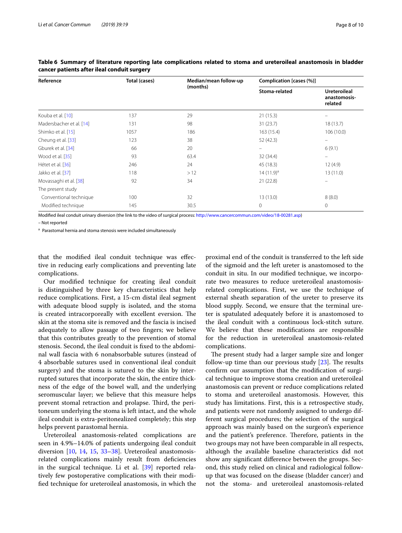| Reference                | Total (cases) | Median/mean follow-up | Complication [cases (%)] |                                                |  |
|--------------------------|---------------|-----------------------|--------------------------|------------------------------------------------|--|
|                          |               | (months)              | Stoma-related            | <b>Ureteroileal</b><br>anastomosis-<br>related |  |
| Kouba et al. [10]        | 137           | 29                    | 21(15.3)                 |                                                |  |
| Madersbacher et al. [14] | 131           | 98                    | 31(23.7)                 | 18(13.7)                                       |  |
| Shimko et al. [15]       | 1057          | 186                   | 163 (15.4)               | 106(10.0)                                      |  |
| Cheung et al. [33]       | 123           | 38                    | 52 (42.3)                |                                                |  |
| Gburek et al. [34]       | 66            | 20                    |                          | 6(9.1)                                         |  |
| Wood et al. [35]         | 93            | 63.4                  | 32 (34.4)                | $\equiv$                                       |  |
| Hétet et al. [36]        | 246           | 24                    | 45 (18.3)                | 12(4.9)                                        |  |
| Jakko et al. [37]        | 118           | >12                   | $14(11.9)^a$             | 13(11.0)                                       |  |
| Movassaghi et al. [38]   | 92            | 34                    | 21(22.8)                 |                                                |  |
| The present study        |               |                       |                          |                                                |  |
| Conventional technique   | 100           | 32                    | 13(13.0)                 | 8(8.0)                                         |  |
| Modified technique       | 145           | 30.5                  | $\mathbf{0}$             | $\mathbf{0}$                                   |  |

<span id="page-7-0"></span>**Table 6 Summary of literature reporting late complications related to stoma and ureteroileal anastomosis in bladder cancer patients after ileal conduit surgery**

Modifed ileal conduit urinary diversion (the link to the video of surgical process: [http://www.cancercommun.com/video/18-00281.asp\)](http://www.cancercommun.com/video/18-00281.asp)

– Not reported

a Parastomal hernia and stoma stenosis were included simultaneously

that the modifed ileal conduit technique was efective in reducing early complications and preventing late complications.

Our modifed technique for creating ileal conduit is distinguished by three key characteristics that help reduce complications. First, a 15-cm distal ileal segment with adequate blood supply is isolated, and the stoma is created intracorporeally with excellent eversion. The skin at the stoma site is removed and the fascia is incised adequately to allow passage of two fngers; we believe that this contributes greatly to the prevention of stomal stenosis. Second, the ileal conduit is fxed to the abdominal wall fascia with 6 nonabsorbable sutures (instead of 4 absorbable sutures used in conventional ileal conduit surgery) and the stoma is sutured to the skin by interrupted sutures that incorporate the skin, the entire thickness of the edge of the bowel wall, and the underlying seromuscular layer; we believe that this measure helps prevent stomal retraction and prolapse. Third, the peritoneum underlying the stoma is left intact, and the whole ileal conduit is extra-peritonealized completely; this step helps prevent parastomal hernia.

Ureteroileal anastomosis-related complications are seen in 4.9%–14.0% of patients undergoing ileal conduit diversion [\[10](#page-8-9), [14](#page-8-11), [15](#page-8-12), [33](#page-9-9)[–38\]](#page-9-10). Ureteroileal anastomosisrelated complications mainly result from defciencies in the surgical technique. Li et al. [[39\]](#page-9-11) reported relatively few postoperative complications with their modifed technique for ureteroileal anastomosis, in which the proximal end of the conduit is transferred to the left side of the sigmoid and the left ureter is anastomosed to the conduit in situ. In our modifed technique, we incorporate two measures to reduce ureteroileal anastomosisrelated complications. First, we use the technique of external sheath separation of the ureter to preserve its blood supply. Second, we ensure that the terminal ureter is spatulated adequately before it is anastomosed to the ileal conduit with a continuous lock-stitch suture. We believe that these modifcations are responsible for the reduction in ureteroileal anastomosis-related complications.

The present study had a larger sample size and longer follow-up time than our previous study  $[23]$  $[23]$ . The results confrm our assumption that the modifcation of surgical technique to improve stoma creation and ureteroileal anastomosis can prevent or reduce complications related to stoma and ureteroileal anastomosis. However, this study has limitations. First, this is a retrospective study, and patients were not randomly assigned to undergo different surgical procedures; the selection of the surgical approach was mainly based on the surgeon's experience and the patient's preference. Therefore, patients in the two groups may not have been comparable in all respects, although the available baseline characteristics did not show any signifcant diference between the groups. Second, this study relied on clinical and radiological followup that was focused on the disease (bladder cancer) and not the stoma- and ureteroileal anastomosis-related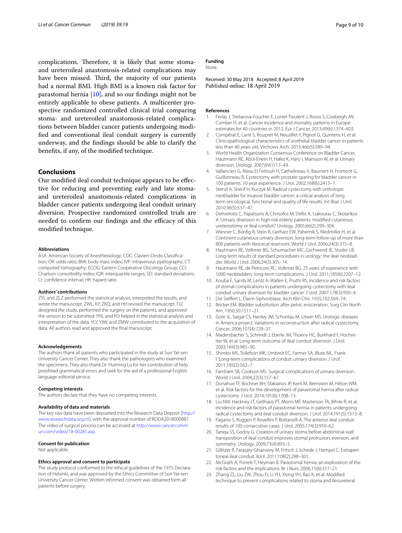complications. Therefore, it is likely that some stomaand ureteroileal anastomosis-related complications may have been missed. Third, the majority of our patients had a normal BMI. High BMI is a known risk factor for parastomal hernia [\[10\]](#page-8-9), and so our fndings might not be entirely applicable to obese patients. A multicenter prospective randomized controlled clinical trial comparing stoma- and ureteroileal anastomosis-related complications between bladder cancer patients undergoing modifed and conventional ileal conduit surgery is currently underway, and the fndings should be able to clarify the benefts, if any, of the modifed technique.

# **Conclusions**

Our modifed ileal conduit technique appears to be efective for reducing and preventing early and late stomaand ureteroileal anastomosis-related complications in bladder cancer patients undergoing ileal conduit urinary diversion. Prospective randomized controlled trials are needed to confirm our findings and the efficacy of this modifed technique.

#### **Abbreviations**

ASA: American Society of Anesthesiology; CDC: Clavien-Dindo Classifcation; OR: odds ratio; BMI: body mass index; IVP: intravenous pyelography; CT: computed tomography; ECOG: Eastern Cooperative Oncology Group; CCI: Charlson comorbidity index; IQR: interquartile ranges; SD: standard deviations; CI: confdence interval; HR: hazard ratio.

#### **Authors' contributions**

ZYL and ZLZ performed the statistical analysis, interpreted the results, and wrote the manuscript. ZWL, KY, ZKQ, and HH revised the manuscript. FJZ designed the study, performed the surgery on the patients, and approved the version to be submitted. YHL and PD helped in the statistical analysis and interpretation of the data. YLY, YJW, and ZMW contributed to the acquisition of data. All authors read and approved the fnal manuscript.

#### **Acknowledgements**

The authors thank all patients who participated in the study at Sun Yat-sen University Cancer Center. They also thank the pathologists who examined the specimens. They also thank Dr. Huiming Lu for her contribution of help proofread grammatical errors and seek for the aid of a professional English language editorial service.

#### **Competing interests**

The authors declare that they have no competing interests.

#### **Availability of data and materials**

The key raw data have been deposited into the Research Data Deposit ([http://](http://www.researchdata.org.cn) [www.researchdata.org.cn\)](http://www.researchdata.org.cn), with the approval number of RDDA2018000887. The video of surgical process can be accessed at [http://www.cancercomm](http://www.cancercommun.com/video/18-00281.asp) [un.com/video/18-00281.asp.](http://www.cancercommun.com/video/18-00281.asp)

#### **Consent for publication**

Not applicable.

#### **Ethics approval and consent to participate**

The study protocol conformed to the ethical guidelines of the 1975 Declaration of Helsinki, and was approved by the Ethics Committee of Sun Yat-sen University Cancer Center. Written informed consent was obtained form all patients before surgery.

## **Funding**

None.

# Received: 30 May 2018 Accepted: 8 April 2019<br>Published online: 18 April 2019

#### **References**

- <span id="page-8-0"></span>1. Ferlay J, Steliarova-Foucher E, Lortet-Tieulent J, Rosso S, Coebergh JW, Comber H, et al. Cancer incidence and mortality patterns in Europe: estimates for 40 countries in 2012. Eur J Cancer. 2013;49(6):1374–403.
- <span id="page-8-1"></span>2. Compérat E, Larré S, Roupret M, Neuzillet Y, Pignot G, Quintens H, et al. Clinicopathological characteristics of urothelial bladder cancer in patients less than 40 years old. Virchows Arch. 2015;466(5):589–94.
- <span id="page-8-2"></span>3. World Health Organization Consensus Conference on Bladder Cancer, Hautmann RE, Abol-Enein H, Hafez K, Haro I, Mansson W, et al. Urinary diversion. Urology. 2007;69(1):17–49.
- <span id="page-8-3"></span>4. Vallancien G, Abou El Fettouh H, Cathelineau X, Baumert H, Fromont G, Guillonneau B. Cystectomy with prostate sparing for bladder cancer in 100 patients: 10-year experience. J Urol. 2002;168(6):2413–7.
- <span id="page-8-4"></span>5. Stenzl A, Sherif H, Kuczyk M. Radical cystectomy with orthotopic neobladder for invasive bladder cancer: a critical analysis of long term oncological, functional and quality of life results. Int Braz J Urol. 2010;36(5):537–47.
- <span id="page-8-5"></span>6. Deliveliotis C, Papatsoris A, Chrisofos M, Dellis A, Liakouras C, Skolarikos A. Urinary diversion in high-risk elderly patients: modifed cutaneous ureterostomy or ileal conduit? Urology. 2005;66(2):299–304.
- <span id="page-8-6"></span>7. Wiesner C, Bonfg R, Stein R, Gerharz EW, Pahernik S, Riedmiller H, et al. Continent cutaneous urinary diversion: long-term follow-up of more than 800 patients with ileocecal reservoirs. World J Urol. 2006;24(3):315–8.
- <span id="page-8-7"></span>8. Hautmann RE, Volkmer BG, Schumacher MC, Gschwend JE, Studer UE. Long-term results of standard procedures in urology: the ileal neobladder. World J Urol. 2006;24(3):305–14.
- <span id="page-8-8"></span>9. Hautmann RE, de Petriconi RC, Volkmer BG. 25 years of experience with 1000 neobladders: long-term complications. J Urol. 2011;185(6):2207–12.
- <span id="page-8-9"></span>10. Kouba E, Sands M, Lentz A, Wallen E, Pruthi RS. Incidence and risk factors of stomal complications in patients undergoing cystectomy with ileal conduit urinary diversion for bladder cancer. J Urol. 2007;178(3):950–4.
- 11. Die Seifert L. Darm-Siphonblase. Arch Klin Chir. 1935;102:569–74.
- 12. Bricker EM. Bladder substitution after pelvic evisceration. Surg Clin North Am. 1950;30:1511–21.
- <span id="page-8-10"></span>13. Gore JL, Saigal CS, Hanley JM, Schonlau M, Litwin MS. Urologic diseases in America project. Variations in reconstruction after radical cystectomy. Cancer. 2006;107(4):729–37.
- <span id="page-8-11"></span>14. Madersbacher S, Schmidt J, Eberle JM, Thoeny HC, Burkhard F, Hochreiter W, et al. Long-term outcome of ileal conduit diversion. J Urol. 2003;169(3):985–90.
- <span id="page-8-12"></span>15. Shimko MS, Tollefson MK, Umbreit EC, Farmer SA, Blute ML, Frank I. Long-term complications of conduit urinary diversion. J Urol. 2011;185(2):562–7.
- <span id="page-8-13"></span>16. Farnham SB, Cookson MS. Surgical complications of urinary diversion. World J Urol. 2004;22(3):157–67.
- <span id="page-8-14"></span>17. Donahue TF, Bochner BH, Sfakianos JP, Kent M, Bernstein M, Hilton WM, et al. Risk factors for the development of parastomal hernia after radical cystectomy. J Urol. 2014;191(6):1708–13.
- <span id="page-8-15"></span>18. Liu NW, Hackney JT, Gellhaus PT, Monn MF, Masterson TA, Bihrle R, et al. Incidence and risk factors of parastomal hernia in patients undergoing radical cystectomy and ileal conduit diversion. J Urol. 2014;191(5):1313–8.
- <span id="page-8-16"></span>19. Pagano S, Ruggeri P, Rovellini P, Bottanelli A. The anterior ileal conduit: results of 100 consecutive cases. J Urol. 2005;174(3):959–62.
- <span id="page-8-17"></span>20. Taneja SS, Godoy G. Creation of urinary stoma before abdominal wall transposition of ileal conduit improves stomal protrusion, eversion, and symmetry. Urology. 2009;73(4):893–5.
- <span id="page-8-18"></span>21. Gillitzer R, Farasaty-Ghazwiny M, Fritsch J, Schede J, Hampel C. Extraperitoneal ileal conduit. BJUI. 2011;108(2):298–301.
- <span id="page-8-19"></span>22. McGrath A, Porrett T, Heyman B. Parastomal hernia: an exploration of the risk factors and the implications. Br J Nurs. 2006;15(6):317–21.
- <span id="page-8-20"></span>23. Zhang ZL, Liu ZW, Zhou FJ, Li YH, Xiong YH, Rao K, et al. Modifed technique to prevent complications related to stoma and ileoureteral